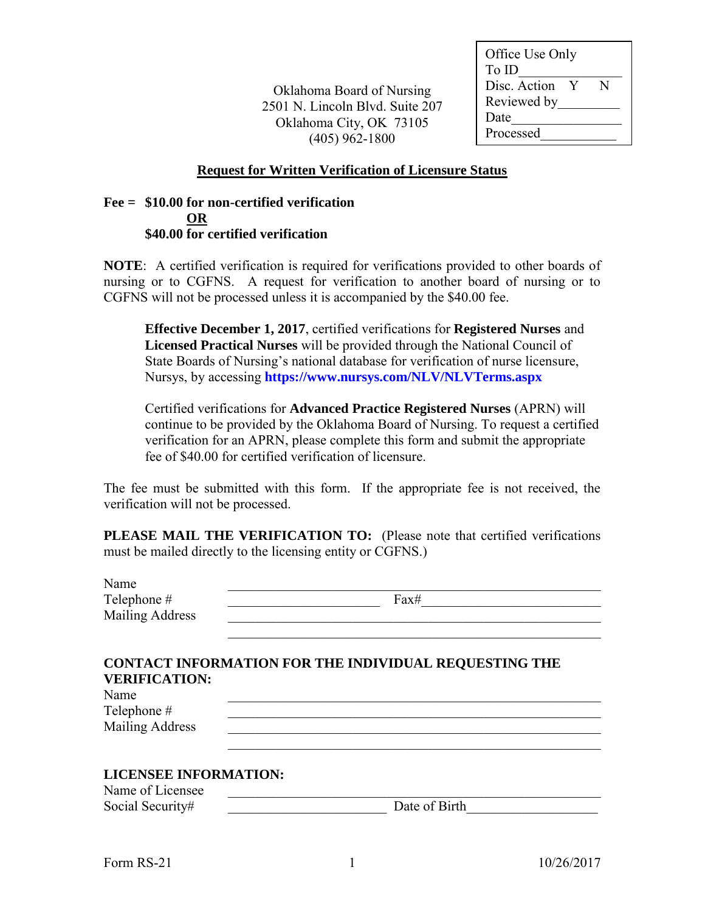Oklahoma Board of Nursing 2501 N. Lincoln Blvd. Suite 207 Oklahoma City, OK 73105 (405) 962-1800

| Office Use Only |              |   |
|-----------------|--------------|---|
| To ID           |              |   |
| Disc. Action    | $\mathbf{Y}$ | N |
| Reviewed by     |              |   |
| Date            |              |   |
| Processed       |              |   |
|                 |              |   |

## **Request for Written Verification of Licensure Status**

## **Fee = \$10.00 for non-certified verification OR \$40.00 for certified verification**

**NOTE**: A certified verification is required for verifications provided to other boards of nursing or to CGFNS. A request for verification to another board of nursing or to CGFNS will not be processed unless it is accompanied by the \$40.00 fee.

**Effective December 1, 2017**, certified verifications for **Registered Nurses** and **Licensed Practical Nurses** will be provided through the National Council of State Boards of Nursing's national database for verification of nurse licensure, Nursys, by accessing **<https://www.nursys.com/NLV/NLVTerms.aspx>**

Certified verifications for **Advanced Practice Registered Nurses** (APRN) will continue to be provided by the Oklahoma Board of Nursing. To request a certified verification for an APRN, please complete this form and submit the appropriate fee of \$40.00 for certified verification of licensure.

The fee must be submitted with this form. If the appropriate fee is not received, the verification will not be processed.

**PLEASE MAIL THE VERIFICATION TO:** (Please note that certified verifications) must be mailed directly to the licensing entity or CGFNS.)

| Name<br>Telephone #<br><b>Mailing Address</b> | Fax#                                                         |
|-----------------------------------------------|--------------------------------------------------------------|
|                                               | <b>CONTACT INFORMATION FOR THE INDIVIDUAL REQUESTING THE</b> |
| <b>VERIFICATION:</b><br>Name                  |                                                              |
| Telephone #                                   |                                                              |
| <b>Mailing Address</b>                        |                                                              |
|                                               |                                                              |
| <b>LICENSEE INFORMATION:</b>                  |                                                              |
| Name of Licensee<br>Social Security#          | Date of Birth                                                |